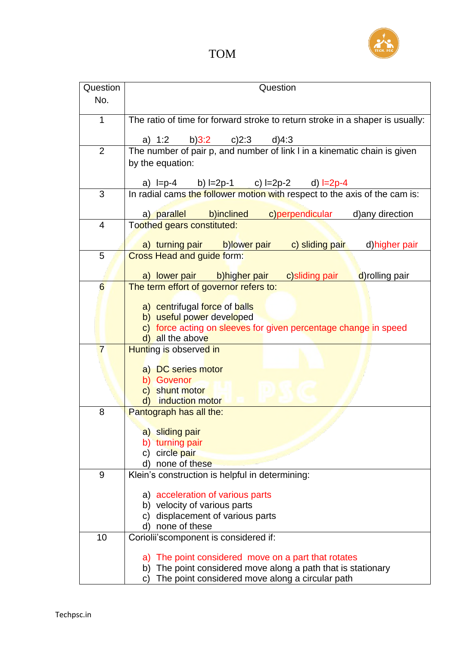

| Question       | Question                                                                                                                     |
|----------------|------------------------------------------------------------------------------------------------------------------------------|
| No.            |                                                                                                                              |
|                |                                                                                                                              |
| $\mathbf{1}$   | The ratio of time for forward stroke to return stroke in a shaper is usually:                                                |
|                |                                                                                                                              |
|                | a) $1:2$<br>b) $3:2$ c) $2:3$<br>$d$ )4:3                                                                                    |
| $\overline{2}$ | The number of pair p, and number of link I in a kinematic chain is given                                                     |
|                | by the equation:                                                                                                             |
|                |                                                                                                                              |
| 3              | a) $I=p-4$ b) $I=2p-1$ c) $I=2p-2$ d) $I=2p-4$<br>In radial cams the follower motion with respect to the axis of the cam is: |
|                |                                                                                                                              |
|                | c)perpendicular<br>b)inclined<br>a) parallel<br>d) any direction                                                             |
| $\overline{4}$ | Toothed gears constituted:                                                                                                   |
|                |                                                                                                                              |
|                | a) turning pair b)lower pair<br>c) sliding pair<br>d) higher pair                                                            |
| 5              | <b>Cross Head and guide form:</b>                                                                                            |
|                | d)rolling pair<br>a) lower pair b)higher pair c)sliding pair                                                                 |
| 6              | The term effort of governor refers to:                                                                                       |
|                |                                                                                                                              |
|                | a) centrifugal force of balls                                                                                                |
|                | b) useful power developed                                                                                                    |
|                | c) force acting on sleeves for given percentage change in speed                                                              |
|                | all the above<br>d)                                                                                                          |
| $\overline{7}$ | Hunting is observed in                                                                                                       |
|                | a) DC series motor                                                                                                           |
|                | b) Govenor                                                                                                                   |
|                | c) shunt motor                                                                                                               |
|                | induction motor<br>$\mathsf{d}$                                                                                              |
| 8              | Pantograph has all the:                                                                                                      |
|                |                                                                                                                              |
|                | a) sliding pair                                                                                                              |
|                | b) turning pair                                                                                                              |
|                | circle pair<br>C)                                                                                                            |
|                | none of these<br>d)                                                                                                          |
| 9              | Klein's construction is helpful in determining:                                                                              |
|                | a) acceleration of various parts                                                                                             |
|                | b) velocity of various parts                                                                                                 |
|                | displacement of various parts<br>C)                                                                                          |
|                | none of these<br>d)                                                                                                          |
| 10             | Coriolii's component is considered if:                                                                                       |
|                |                                                                                                                              |
|                | The point considered move on a part that rotates<br>a)                                                                       |
|                | The point considered move along a path that is stationary<br>b)                                                              |
|                | The point considered move along a circular path<br>C)                                                                        |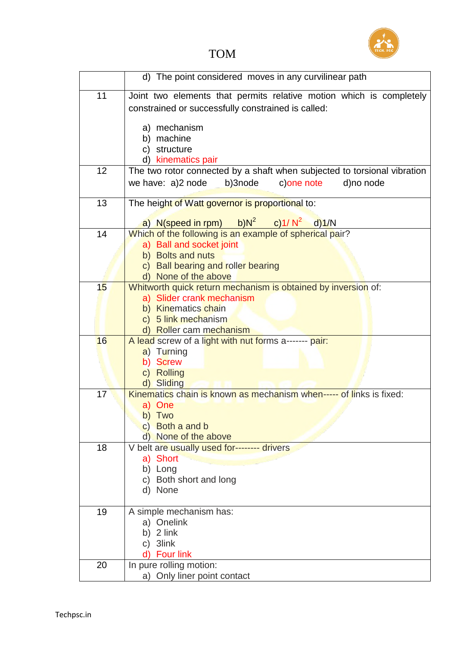

## TOM

|    | d) The point considered moves in any curvilinear path                             |
|----|-----------------------------------------------------------------------------------|
| 11 | Joint two elements that permits relative motion which is completely               |
|    | constrained or successfully constrained is called:                                |
|    |                                                                                   |
|    | a) mechanism                                                                      |
|    | b) machine<br>c) structure                                                        |
|    | d) kinematics pair                                                                |
| 12 | The two rotor connected by a shaft when subjected to torsional vibration          |
|    | we have: a)2 node<br>b)3node<br>c) one note<br>d)no node                          |
|    |                                                                                   |
| 13 | The height of Watt governor is proportional to:                                   |
|    | a) N(speed in rpm) b)N <sup>2</sup> c)1/N <sup>2</sup> d)1/N                      |
| 14 | Which of the following is an example of spherical pair?                           |
|    | a) Ball and socket joint                                                          |
|    | b) Bolts and nuts                                                                 |
|    | c) Ball bearing and roller bearing                                                |
|    | d) None of the above                                                              |
| 15 | Whitworth quick return mechanism is obtained by inversion of:                     |
|    | a) Slider crank mechanism<br>b) Kinematics chain                                  |
|    | c) 5 link mechanism                                                               |
|    | d) Roller cam mechanism                                                           |
| 16 | A lead screw of a light with nut forms a------- pair:                             |
|    | a) Turning                                                                        |
|    | <b>Screw</b><br>b)                                                                |
|    | c) Rolling                                                                        |
| 17 | d) Sliding<br>Kinematics chain is known as mechanism when----- of links is fixed: |
|    | a) One                                                                            |
|    | b) Two                                                                            |
|    | c) Both a and b                                                                   |
|    | d) None of the above                                                              |
| 18 | V belt are usually used for-------- drivers                                       |
|    | a) Short<br>b) Long                                                               |
|    | c) Both short and long                                                            |
|    | d) None                                                                           |
|    |                                                                                   |
| 19 | A simple mechanism has:                                                           |
|    | a) Onelink                                                                        |
|    | b) $2$ link                                                                       |
|    | c) 3link<br><b>Four link</b>                                                      |
| 20 | In pure rolling motion:                                                           |
|    | a) Only liner point contact                                                       |